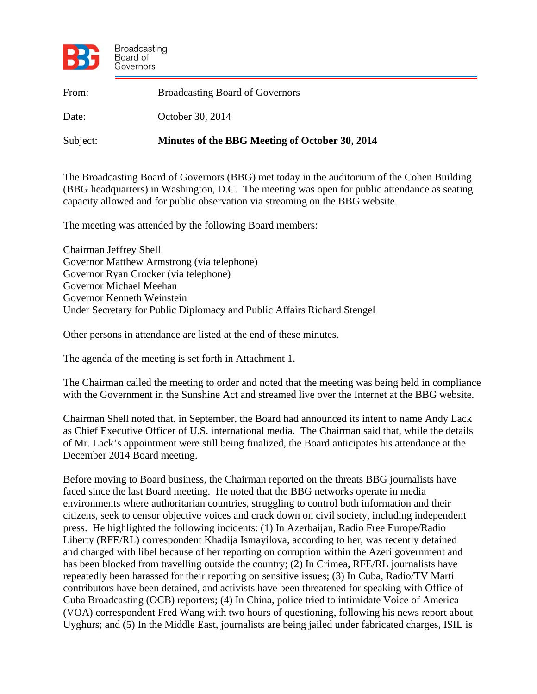

| From:    | <b>Broadcasting Board of Governors</b>         |
|----------|------------------------------------------------|
| Date:    | October 30, 2014                               |
| Subject: | Minutes of the BBG Meeting of October 30, 2014 |

The Broadcasting Board of Governors (BBG) met today in the auditorium of the Cohen Building (BBG headquarters) in Washington, D.C. The meeting was open for public attendance as seating capacity allowed and for public observation via streaming on the BBG website.

The meeting was attended by the following Board members:

Chairman Jeffrey Shell Governor Matthew Armstrong (via telephone) Governor Ryan Crocker (via telephone) Governor Michael Meehan Governor Kenneth Weinstein Under Secretary for Public Diplomacy and Public Affairs Richard Stengel

Other persons in attendance are listed at the end of these minutes.

The agenda of the meeting is set forth in Attachment 1.

The Chairman called the meeting to order and noted that the meeting was being held in compliance with the Government in the Sunshine Act and streamed live over the Internet at the BBG website.

Chairman Shell noted that, in September, the Board had announced its intent to name Andy Lack as Chief Executive Officer of U.S. international media. The Chairman said that, while the details of Mr. Lack's appointment were still being finalized, the Board anticipates his attendance at the December 2014 Board meeting.

Before moving to Board business, the Chairman reported on the threats BBG journalists have faced since the last Board meeting. He noted that the BBG networks operate in media environments where authoritarian countries, struggling to control both information and their citizens, seek to censor objective voices and crack down on civil society, including independent press. He highlighted the following incidents: (1) In Azerbaijan, Radio Free Europe/Radio Liberty (RFE/RL) correspondent Khadija Ismayilova, according to her, was recently detained and charged with libel because of her reporting on corruption within the Azeri government and has been blocked from travelling outside the country; (2) In Crimea, RFE/RL journalists have repeatedly been harassed for their reporting on sensitive issues; (3) In Cuba, Radio/TV Marti contributors have been detained, and activists have been threatened for speaking with Office of Cuba Broadcasting (OCB) reporters; (4) In China, police tried to intimidate Voice of America (VOA) correspondent Fred Wang with two hours of questioning, following his news report about Uyghurs; and (5) In the Middle East, journalists are being jailed under fabricated charges, ISIL is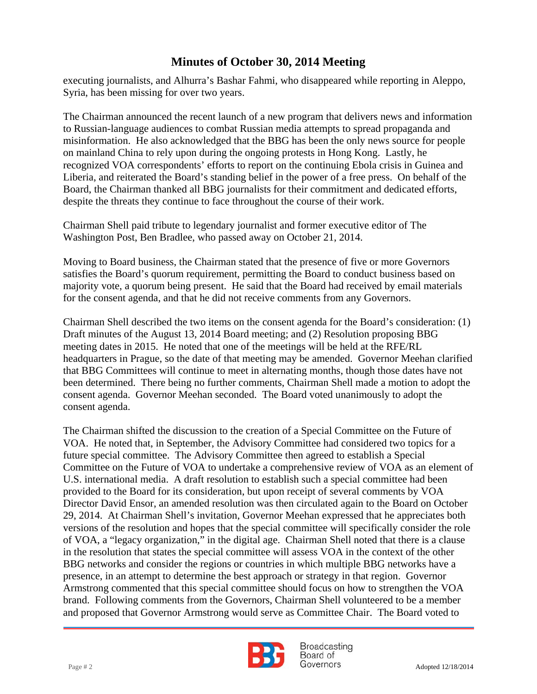executing journalists, and Alhurra's Bashar Fahmi, who disappeared while reporting in Aleppo, Syria, has been missing for over two years.

 to Russian-language audiences to combat Russian media attempts to spread propaganda and The Chairman announced the recent launch of a new program that delivers news and information misinformation. He also acknowledged that the BBG has been the only news source for people on mainland China to rely upon during the ongoing protests in Hong Kong. Lastly, he recognized VOA correspondents' efforts to report on the continuing Ebola crisis in Guinea and Liberia, and reiterated the Board's standing belief in the power of a free press. On behalf of the Board, the Chairman thanked all BBG journalists for their commitment and dedicated efforts, despite the threats they continue to face throughout the course of their work.

Chairman Shell paid tribute to legendary journalist and former executive editor of The Washington Post, Ben Bradlee, who passed away on October 21, 2014.

Moving to Board business, the Chairman stated that the presence of five or more Governors satisfies the Board's quorum requirement, permitting the Board to conduct business based on majority vote, a quorum being present. He said that the Board had received by email materials for the consent agenda, and that he did not receive comments from any Governors.

Chairman Shell described the two items on the consent agenda for the Board's consideration: (1) Draft minutes of the August 13, 2014 Board meeting; and (2) Resolution proposing BBG meeting dates in 2015. He noted that one of the meetings will be held at the RFE/RL headquarters in Prague, so the date of that meeting may be amended. Governor Meehan clarified that BBG Committees will continue to meet in alternating months, though those dates have not been determined. There being no further comments, Chairman Shell made a motion to adopt the consent agenda. Governor Meehan seconded. The Board voted unanimously to adopt the consent agenda.

The Chairman shifted the discussion to the creation of a Special Committee on the Future of VOA. He noted that, in September, the Advisory Committee had considered two topics for a future special committee. The Advisory Committee then agreed to establish a Special Committee on the Future of VOA to undertake a comprehensive review of VOA as an element of U.S. international media. A draft resolution to establish such a special committee had been provided to the Board for its consideration, but upon receipt of several comments by VOA Director David Ensor, an amended resolution was then circulated again to the Board on October 29, 2014. At Chairman Shell's invitation, Governor Meehan expressed that he appreciates both versions of the resolution and hopes that the special committee will specifically consider the role of VOA, a "legacy organization," in the digital age. Chairman Shell noted that there is a clause in the resolution that states the special committee will assess VOA in the context of the other BBG networks and consider the regions or countries in which multiple BBG networks have a presence, in an attempt to determine the best approach or strategy in that region. Governor Armstrong commented that this special committee should focus on how to strengthen the VOA brand. Following comments from the Governors, Chairman Shell volunteered to be a member and proposed that Governor Armstrong would serve as Committee Chair. The Board voted to



**Broadcasting** Board of  $Page # 2$  Adopted 12/18/2014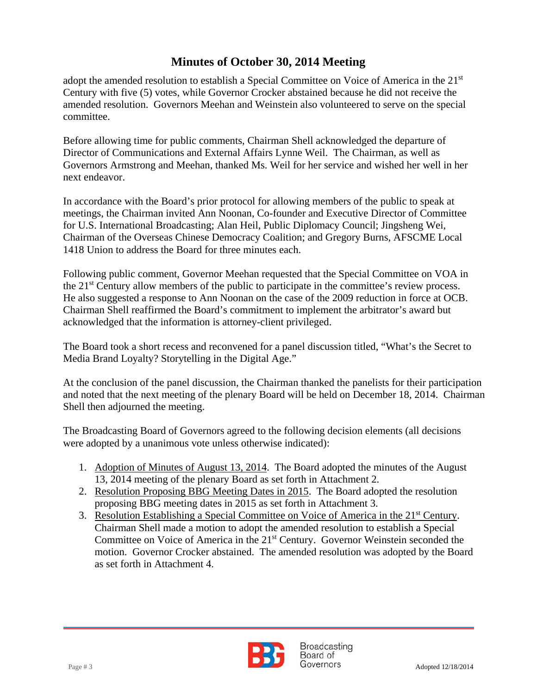adopt the amended resolution to establish a Special Committee on Voice of America in the 21<sup>st</sup> Century with five (5) votes, while Governor Crocker abstained because he did not receive the amended resolution. Governors Meehan and Weinstein also volunteered to serve on the special committee.

Before allowing time for public comments, Chairman Shell acknowledged the departure of Director of Communications and External Affairs Lynne Weil. The Chairman, as well as Governors Armstrong and Meehan, thanked Ms. Weil for her service and wished her well in her next endeavor.

In accordance with the Board's prior protocol for allowing members of the public to speak at meetings, the Chairman invited Ann Noonan, Co-founder and Executive Director of Committee for U.S. International Broadcasting; Alan Heil, Public Diplomacy Council; Jingsheng Wei, Chairman of the Overseas Chinese Democracy Coalition; and Gregory Burns, AFSCME Local 1418 Union to address the Board for three minutes each.

Following public comment, Governor Meehan requested that the Special Committee on VOA in the 21<sup>st</sup> Century allow members of the public to participate in the committee's review process. He also suggested a response to Ann Noonan on the case of the 2009 reduction in force at OCB. Chairman Shell reaffirmed the Board's commitment to implement the arbitrator's award but acknowledged that the information is attorney-client privileged.

The Board took a short recess and reconvened for a panel discussion titled, "What's the Secret to Media Brand Loyalty? Storytelling in the Digital Age."

At the conclusion of the panel discussion, the Chairman thanked the panelists for their participation and noted that the next meeting of the plenary Board will be held on December 18, 2014. Chairman Shell then adjourned the meeting.

The Broadcasting Board of Governors agreed to the following decision elements (all decisions were adopted by a unanimous vote unless otherwise indicated):

- 1. Adoption of Minutes of August 13, 2014. The Board adopted the minutes of the August 13, 2014 meeting of the plenary Board as set forth in Attachment 2.
- 2. Resolution Proposing BBG Meeting Dates in 2015. The Board adopted the resolution proposing BBG meeting dates in 2015 as set forth in Attachment 3.
- 3. Resolution Establishing a Special Committee on Voice of America in the 21<sup>st</sup> Century. Chairman Shell made a motion to adopt the amended resolution to establish a Special Committee on Voice of America in the 21st Century. Governor Weinstein seconded the motion. Governor Crocker abstained. The amended resolution was adopted by the Board as set forth in Attachment 4.

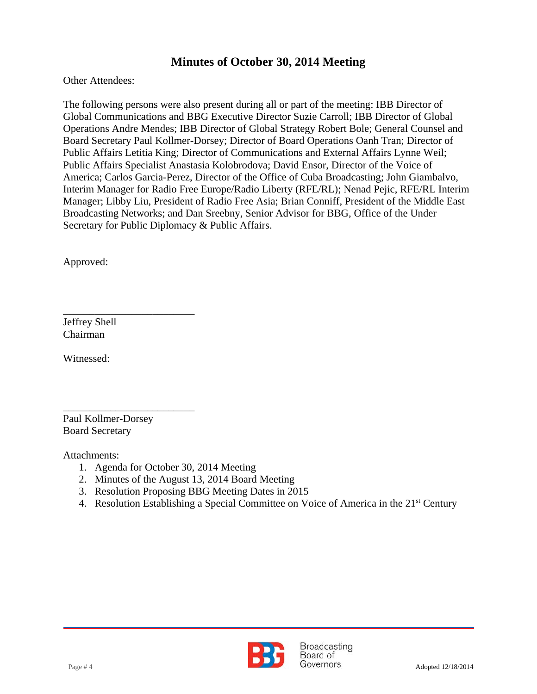Other Attendees:

 Operations Andre Mendes; IBB Director of Global Strategy Robert Bole; General Counsel and The following persons were also present during all or part of the meeting: IBB Director of Global Communications and BBG Executive Director Suzie Carroll; IBB Director of Global Board Secretary Paul Kollmer-Dorsey; Director of Board Operations Oanh Tran; Director of Public Affairs Letitia King; Director of Communications and External Affairs Lynne Weil; Public Affairs Specialist Anastasia Kolobrodova; David Ensor, Director of the Voice of America; Carlos Garcia-Perez, Director of the Office of Cuba Broadcasting; John Giambalvo, Interim Manager for Radio Free Europe/Radio Liberty (RFE/RL); Nenad Pejic, RFE/RL Interim Manager; Libby Liu, President of Radio Free Asia; Brian Conniff, President of the Middle East Broadcasting Networks; and Dan Sreebny, Senior Advisor for BBG, Office of the Under Secretary for Public Diplomacy & Public Affairs.

Approved:

Jeffrey Shell Chairman

Witnessed:

\_\_\_\_\_\_\_\_\_\_\_\_\_\_\_\_\_\_\_\_\_\_\_\_\_ Paul Kollmer-Dorsey Board Secretary

\_\_\_\_\_\_\_\_\_\_\_\_\_\_\_\_\_\_\_\_\_\_\_\_\_

Attachments:

- 1. Agenda for October 30, 2014 Meeting
- 2. Minutes of the August 13, 2014 Board Meeting
- 3. Resolution Proposing BBG Meeting Dates in 2015
- 4. Resolution Establishing a Special Committee on Voice of America in the 21<sup>st</sup> Century

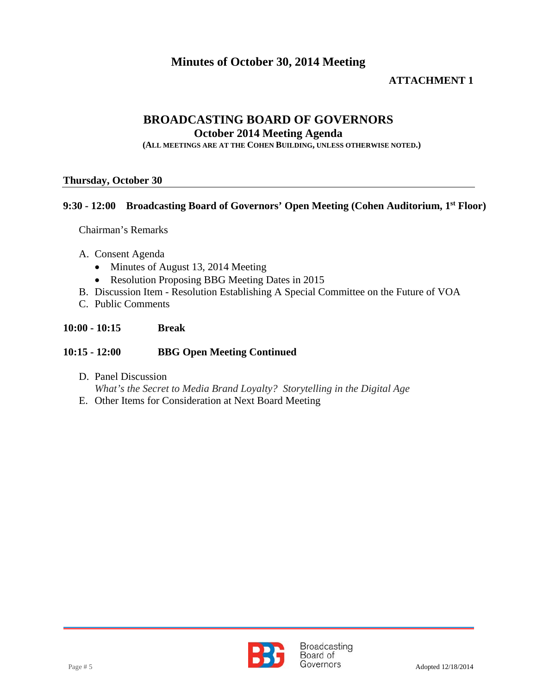#### **ATTACHMENT 1**

### **BROADCASTING BOARD OF GOVERNORS**

**October 2014 Meeting Agenda** 

**(ALL MEETINGS ARE AT THE COHEN BUILDING, UNLESS OTHERWISE NOTED.)**

#### **Thursday, October 30**

#### **9:30 - 12:00 Broadcasting Board of Governors' Open Meeting (Cohen Auditorium, 1st Floor)**

Chairman's Remarks

- A. Consent Agenda
	- Minutes of August 13, 2014 Meeting
	- Resolution Proposing BBG Meeting Dates in 2015
- B. Discussion Item Resolution Establishing A Special Committee on the Future of VOA
- C. Public Comments

#### **10:00 - 10:15 Break**

#### **10:15 - 12:00 BBG Open Meeting Continued**

- D. Panel Discussion *What's the Secret to Media Brand Loyalty? Storytelling in the Digital Age*
- E. Other Items for Consideration at Next Board Meeting

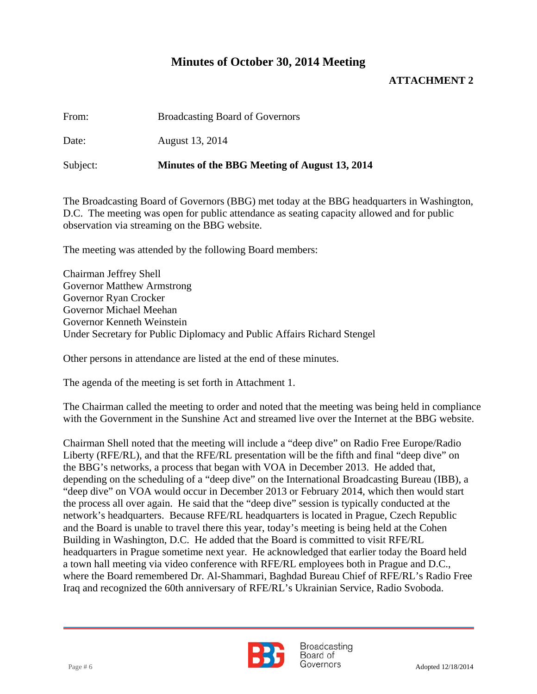#### **ATTACHMENT 2**

| From: | <b>Broadcasting Board of Governors</b> |
|-------|----------------------------------------|
|-------|----------------------------------------|

Date: August 13, 2014

Subject: **Minutes of the BBG Meeting of August 13, 2014** 

The Broadcasting Board of Governors (BBG) met today at the BBG headquarters in Washington, D.C. The meeting was open for public attendance as seating capacity allowed and for public observation via streaming on the BBG website.

The meeting was attended by the following Board members:

Chairman Jeffrey Shell Governor Matthew Armstrong Governor Ryan Crocker Governor Michael Meehan Governor Kenneth Weinstein Under Secretary for Public Diplomacy and Public Affairs Richard Stengel

Other persons in attendance are listed at the end of these minutes.

The agenda of the meeting is set forth in Attachment 1.

The Chairman called the meeting to order and noted that the meeting was being held in compliance with the Government in the Sunshine Act and streamed live over the Internet at the BBG website.

Chairman Shell noted that the meeting will include a "deep dive" on Radio Free Europe/Radio Liberty (RFE/RL), and that the RFE/RL presentation will be the fifth and final "deep dive" on the BBG's networks, a process that began with VOA in December 2013. He added that, depending on the scheduling of a "deep dive" on the International Broadcasting Bureau (IBB), a "deep dive" on VOA would occur in December 2013 or February 2014, which then would start the process all over again. He said that the "deep dive" session is typically conducted at the network's headquarters. Because RFE/RL headquarters is located in Prague, Czech Republic and the Board is unable to travel there this year, today's meeting is being held at the Cohen Building in Washington, D.C. He added that the Board is committed to visit RFE/RL headquarters in Prague sometime next year. He acknowledged that earlier today the Board held a town hall meeting via video conference with RFE/RL employees both in Prague and D.C., where the Board remembered Dr. Al-Shammari, Baghdad Bureau Chief of RFE/RL's Radio Free Iraq and recognized the 60th anniversary of RFE/RL's Ukrainian Service, Radio Svoboda.



**Broadcasting** Board of Page # 6 Adopted 12/18/2014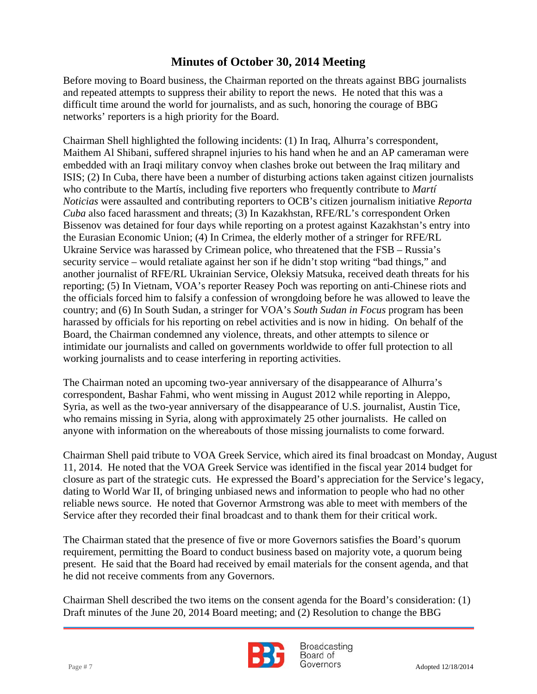Before moving to Board business, the Chairman reported on the threats against BBG journalists and repeated attempts to suppress their ability to report the news. He noted that this was a difficult time around the world for journalists, and as such, honoring the courage of BBG networks' reporters is a high priority for the Board.

Chairman Shell highlighted the following incidents: (1) In Iraq, Alhurra's correspondent, Maithem Al Shibani, suffered shrapnel injuries to his hand when he and an AP cameraman were embedded with an Iraqi military convoy when clashes broke out between the Iraq military and ISIS; (2) In Cuba, there have been a number of disturbing actions taken against citizen journalists who contribute to the Martís, including five reporters who frequently contribute to *Martí Noticias* were assaulted and contributing reporters to OCB's citizen journalism initiative *Reporta Cuba* also faced harassment and threats; (3) In Kazakhstan, RFE/RL's correspondent Orken Bissenov was detained for four days while reporting on a protest against Kazakhstan's entry into the Eurasian Economic Union; (4) In Crimea, the elderly mother of a stringer for RFE/RL Ukraine Service was harassed by Crimean police, who threatened that the FSB – Russia's security service – would retaliate against her son if he didn't stop writing "bad things," and another journalist of RFE/RL Ukrainian Service, Oleksiy Matsuka, received death threats for his reporting; (5) In Vietnam, VOA's reporter Reasey Poch was reporting on anti-Chinese riots and the officials forced him to falsify a confession of wrongdoing before he was allowed to leave the country; and (6) In South Sudan, a stringer for VOA's *South Sudan in Focus* program has been harassed by officials for his reporting on rebel activities and is now in hiding. On behalf of the Board, the Chairman condemned any violence, threats, and other attempts to silence or intimidate our journalists and called on governments worldwide to offer full protection to all working journalists and to cease interfering in reporting activities.

The Chairman noted an upcoming two-year anniversary of the disappearance of Alhurra's correspondent, Bashar Fahmi, who went missing in August 2012 while reporting in Aleppo, Syria, as well as the two-year anniversary of the disappearance of U.S. journalist, Austin Tice, who remains missing in Syria, along with approximately 25 other journalists. He called on anyone with information on the whereabouts of those missing journalists to come forward.

Chairman Shell paid tribute to VOA Greek Service, which aired its final broadcast on Monday, August 11, 2014. He noted that the VOA Greek Service was identified in the fiscal year 2014 budget for closure as part of the strategic cuts. He expressed the Board's appreciation for the Service's legacy, dating to World War II, of bringing unbiased news and information to people who had no other reliable news source. He noted that Governor Armstrong was able to meet with members of the Service after they recorded their final broadcast and to thank them for their critical work.

The Chairman stated that the presence of five or more Governors satisfies the Board's quorum requirement, permitting the Board to conduct business based on majority vote, a quorum being present. He said that the Board had received by email materials for the consent agenda, and that he did not receive comments from any Governors.

Chairman Shell described the two items on the consent agenda for the Board's consideration: (1) Draft minutes of the June 20, 2014 Board meeting; and (2) Resolution to change the BBG



**Broadcasting** Board of Page # 7 Adopted 12/18/2014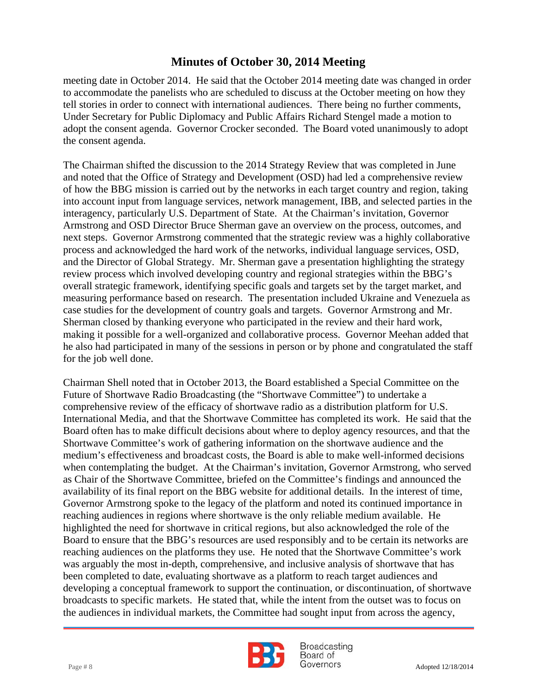adopt the consent agenda. Governor Crocker seconded. The Board voted unanimously to adopt meeting date in October 2014. He said that the October 2014 meeting date was changed in order to accommodate the panelists who are scheduled to discuss at the October meeting on how they tell stories in order to connect with international audiences. There being no further comments, Under Secretary for Public Diplomacy and Public Affairs Richard Stengel made a motion to the consent agenda.

The Chairman shifted the discussion to the 2014 Strategy Review that was completed in June and noted that the Office of Strategy and Development (OSD) had led a comprehensive review of how the BBG mission is carried out by the networks in each target country and region, taking into account input from language services, network management, IBB, and selected parties in the interagency, particularly U.S. Department of State. At the Chairman's invitation, Governor Armstrong and OSD Director Bruce Sherman gave an overview on the process, outcomes, and next steps. Governor Armstrong commented that the strategic review was a highly collaborative process and acknowledged the hard work of the networks, individual language services, OSD, and the Director of Global Strategy. Mr. Sherman gave a presentation highlighting the strategy review process which involved developing country and regional strategies within the BBG's overall strategic framework, identifying specific goals and targets set by the target market, and measuring performance based on research. The presentation included Ukraine and Venezuela as case studies for the development of country goals and targets. Governor Armstrong and Mr. Sherman closed by thanking everyone who participated in the review and their hard work, making it possible for a well-organized and collaborative process. Governor Meehan added that he also had participated in many of the sessions in person or by phone and congratulated the staff for the job well done.

Chairman Shell noted that in October 2013, the Board established a Special Committee on the Future of Shortwave Radio Broadcasting (the "Shortwave Committee") to undertake a comprehensive review of the efficacy of shortwave radio as a distribution platform for U.S. International Media, and that the Shortwave Committee has completed its work. He said that the Board often has to make difficult decisions about where to deploy agency resources, and that the Shortwave Committee's work of gathering information on the shortwave audience and the medium's effectiveness and broadcast costs, the Board is able to make well-informed decisions when contemplating the budget. At the Chairman's invitation, Governor Armstrong, who served as Chair of the Shortwave Committee, briefed on the Committee's findings and announced the availability of its final report on the BBG website for additional details. In the interest of time, Governor Armstrong spoke to the legacy of the platform and noted its continued importance in reaching audiences in regions where shortwave is the only reliable medium available. He highlighted the need for shortwave in critical regions, but also acknowledged the role of the Board to ensure that the BBG's resources are used responsibly and to be certain its networks are reaching audiences on the platforms they use. He noted that the Shortwave Committee's work was arguably the most in-depth, comprehensive, and inclusive analysis of shortwave that has been completed to date, evaluating shortwave as a platform to reach target audiences and developing a conceptual framework to support the continuation, or discontinuation, of shortwave broadcasts to specific markets. He stated that, while the intent from the outset was to focus on the audiences in individual markets, the Committee had sought input from across the agency,



**Broadcasting** Board of Page # 8 Adopted 12/18/2014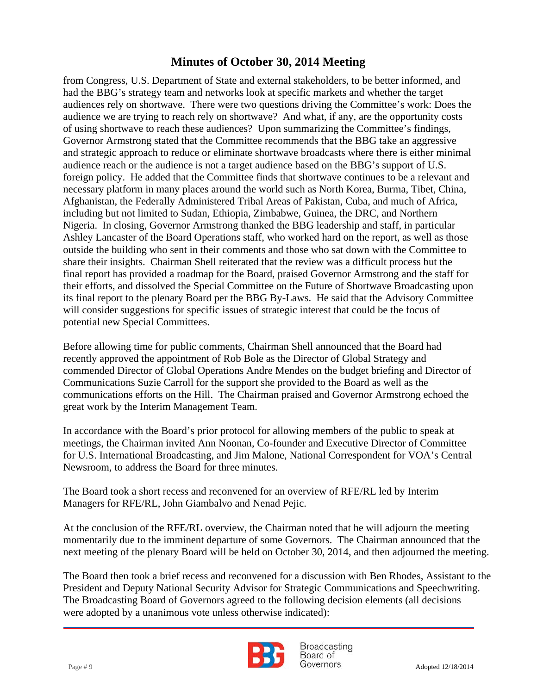of using shortwave to reach these audiences? Upon summarizing the Committee's findings, from Congress, U.S. Department of State and external stakeholders, to be better informed, and had the BBG's strategy team and networks look at specific markets and whether the target audiences rely on shortwave. There were two questions driving the Committee's work: Does the audience we are trying to reach rely on shortwave? And what, if any, are the opportunity costs Governor Armstrong stated that the Committee recommends that the BBG take an aggressive and strategic approach to reduce or eliminate shortwave broadcasts where there is either minimal audience reach or the audience is not a target audience based on the BBG's support of U.S. foreign policy. He added that the Committee finds that shortwave continues to be a relevant and necessary platform in many places around the world such as North Korea, Burma, Tibet, China, Afghanistan, the Federally Administered Tribal Areas of Pakistan, Cuba, and much of Africa, including but not limited to Sudan, Ethiopia, Zimbabwe, Guinea, the DRC, and Northern Nigeria. In closing, Governor Armstrong thanked the BBG leadership and staff, in particular Ashley Lancaster of the Board Operations staff, who worked hard on the report, as well as those outside the building who sent in their comments and those who sat down with the Committee to share their insights. Chairman Shell reiterated that the review was a difficult process but the final report has provided a roadmap for the Board, praised Governor Armstrong and the staff for their efforts, and dissolved the Special Committee on the Future of Shortwave Broadcasting upon its final report to the plenary Board per the BBG By-Laws. He said that the Advisory Committee will consider suggestions for specific issues of strategic interest that could be the focus of potential new Special Committees.

Before allowing time for public comments, Chairman Shell announced that the Board had recently approved the appointment of Rob Bole as the Director of Global Strategy and commended Director of Global Operations Andre Mendes on the budget briefing and Director of Communications Suzie Carroll for the support she provided to the Board as well as the communications efforts on the Hill. The Chairman praised and Governor Armstrong echoed the great work by the Interim Management Team.

In accordance with the Board's prior protocol for allowing members of the public to speak at meetings, the Chairman invited Ann Noonan, Co-founder and Executive Director of Committee for U.S. International Broadcasting, and Jim Malone, National Correspondent for VOA's Central Newsroom, to address the Board for three minutes.

The Board took a short recess and reconvened for an overview of RFE/RL led by Interim Managers for RFE/RL, John Giambalvo and Nenad Pejic.

At the conclusion of the RFE/RL overview, the Chairman noted that he will adjourn the meeting momentarily due to the imminent departure of some Governors. The Chairman announced that the next meeting of the plenary Board will be held on October 30, 2014, and then adjourned the meeting.

The Board then took a brief recess and reconvened for a discussion with Ben Rhodes, Assistant to the President and Deputy National Security Advisor for Strategic Communications and Speechwriting. The Broadcasting Board of Governors agreed to the following decision elements (all decisions were adopted by a unanimous vote unless otherwise indicated):



Broadcasting Board of Page # 9 Adopted 12/18/2014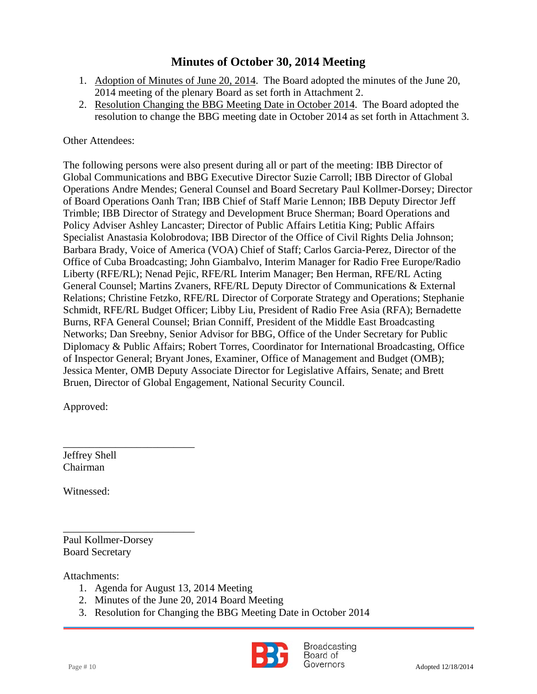- 1. Adoption of Minutes of June 20, 2014. The Board adopted the minutes of the June 20, 2014 meeting of the plenary Board as set forth in Attachment 2.
- 2. Resolution Changing the BBG Meeting Date in October 2014. The Board adopted the resolution to change the BBG meeting date in October 2014 as set forth in Attachment 3.

### Other Attendees:

The following persons were also present during all or part of the meeting: IBB Director of Global Communications and BBG Executive Director Suzie Carroll; IBB Director of Global Operations Andre Mendes; General Counsel and Board Secretary Paul Kollmer-Dorsey; Director of Board Operations Oanh Tran; IBB Chief of Staff Marie Lennon; IBB Deputy Director Jeff Trimble; IBB Director of Strategy and Development Bruce Sherman; Board Operations and Policy Adviser Ashley Lancaster; Director of Public Affairs Letitia King; Public Affairs Specialist Anastasia Kolobrodova; IBB Director of the Office of Civil Rights Delia Johnson; Barbara Brady, Voice of America (VOA) Chief of Staff; Carlos Garcia-Perez, Director of the Office of Cuba Broadcasting; John Giambalvo, Interim Manager for Radio Free Europe/Radio Liberty (RFE/RL); Nenad Pejic, RFE/RL Interim Manager; Ben Herman, RFE/RL Acting General Counsel; Martins Zvaners, RFE/RL Deputy Director of Communications & External Relations; Christine Fetzko, RFE/RL Director of Corporate Strategy and Operations; Stephanie Schmidt, RFE/RL Budget Officer; Libby Liu, President of Radio Free Asia (RFA); Bernadette Burns, RFA General Counsel; Brian Conniff, President of the Middle East Broadcasting Networks; Dan Sreebny, Senior Advisor for BBG, Office of the Under Secretary for Public Diplomacy & Public Affairs; Robert Torres, Coordinator for International Broadcasting, Office of Inspector General; Bryant Jones, Examiner, Office of Management and Budget (OMB); Jessica Menter, OMB Deputy Associate Director for Legislative Affairs, Senate; and Brett Bruen, Director of Global Engagement, National Security Council.

Approved:

Jeffrey Shell Chairman

Witnessed:

Paul Kollmer-Dorsey Board Secretary

\_\_\_\_\_\_\_\_\_\_\_\_\_\_\_\_\_\_\_\_\_\_\_\_\_

\_\_\_\_\_\_\_\_\_\_\_\_\_\_\_\_\_\_\_\_\_\_\_\_\_

Attachments:

- 1. Agenda for August 13, 2014 Meeting
- 2. Minutes of the June 20, 2014 Board Meeting
- 3. Resolution for Changing the BBG Meeting Date in October 2014



**Broadcasting** Board of Page # 10 Adopted 12/18/2014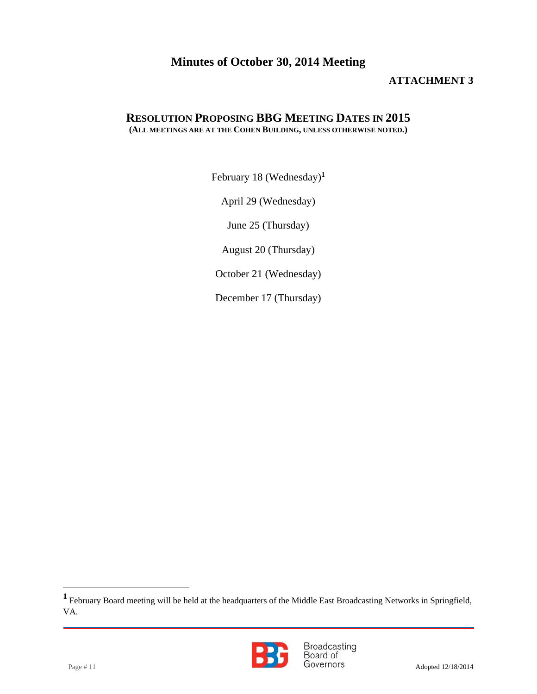### **ATTACHMENT 3**

#### **RESOLUTION PROPOSING BBG MEETING DATES IN 2015 (ALL MEETINGS ARE AT THE COHEN BUILDING, UNLESS OTHERWISE NOTED.)**

February 18 (Wednesday)**<sup>1</sup>**

April 29 (Wednesday)

June 25 (Thursday)

August 20 (Thursday)

October 21 (Wednesday)

December 17 (Thursday)

**<sup>1</sup>** February Board meeting will be held at the headquarters of the Middle East Broadcasting Networks in Springfield, VA.



Page # 11 Broadcasting<br>Page # 11 Board of Governors Adopted 12/18/2014

l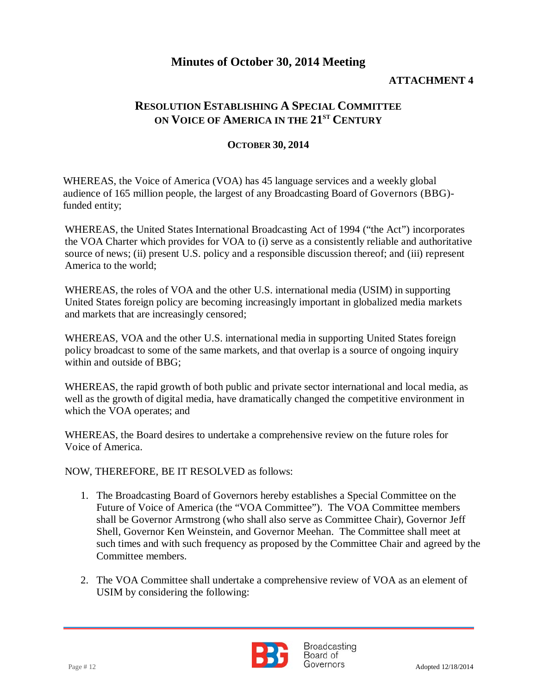### **ATTACHMENT 4**

### **RESOLUTION ESTABLISHING A SPECIAL COMMITTEE ON VOICE OF AMERICA IN THE 21ST CENTURY**

#### **OCTOBER 30, 2014**

WHEREAS, the Voice of America (VOA) has 45 language services and a weekly global audience of 165 million people, the largest of any Broadcasting Board of Governors (BBG) funded entity;

WHEREAS, the United States International Broadcasting Act of 1994 ("the Act") incorporates the VOA Charter which provides for VOA to (i) serve as a consistently reliable and authoritative source of news; (ii) present U.S. policy and a responsible discussion thereof; and (iii) represent America to the world;

WHEREAS, the roles of VOA and the other U.S. international media (USIM) in supporting United States foreign policy are becoming increasingly important in globalized media markets and markets that are increasingly censored;

WHEREAS, VOA and the other U.S. international media in supporting United States foreign policy broadcast to some of the same markets, and that overlap is a source of ongoing inquiry within and outside of BBG;

WHEREAS, the rapid growth of both public and private sector international and local media, as well as the growth of digital media, have dramatically changed the competitive environment in which the VOA operates; and

WHEREAS, the Board desires to undertake a comprehensive review on the future roles for Voice of America.

NOW, THEREFORE, BE IT RESOLVED as follows:

- 1. The Broadcasting Board of Governors hereby establishes a Special Committee on the Future of Voice of America (the "VOA Committee"). The VOA Committee members shall be Governor Armstrong (who shall also serve as Committee Chair), Governor Jeff Shell, Governor Ken Weinstein, and Governor Meehan. The Committee shall meet at such times and with such frequency as proposed by the Committee Chair and agreed by the Committee members.
- 2. The VOA Committee shall undertake a comprehensive review of VOA as an element of USIM by considering the following:



**Broadcasting** Board of Page # 12 Adopted 12/18/2014